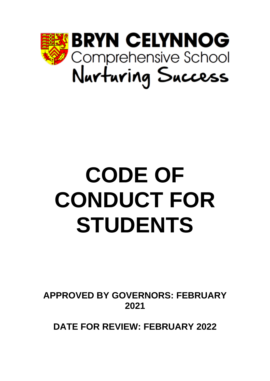

# **CODE OF CONDUCT FOR STUDENTS**

**APPROVED BY GOVERNORS: FEBRUARY 2021**

**DATE FOR REVIEW: FEBRUARY 2022**